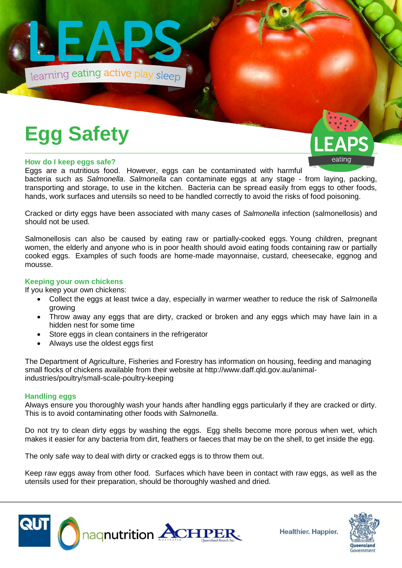

# **Egg Safety**

### **How do I keep eggs safe?**

Eggs are a nutritious food. However, eggs can be contaminated with harmful bacteria such as *Salmonella*. *Salmonella* can contaminate eggs at any stage - from laying, packing, transporting and storage, to use in the kitchen. Bacteria can be spread easily from eggs to other foods, hands, work surfaces and utensils so need to be handled correctly to avoid the risks of food poisoning.

Cracked or dirty eggs have been associated with many cases of *Salmonella* infection (salmonellosis) and should not be used.

Salmonellosis can also be caused by eating raw or partially-cooked eggs. Young children, pregnant women, the elderly and anyone who is in poor health should avoid eating foods containing raw or partially cooked eggs. Examples of such foods are home-made mayonnaise, custard, cheesecake, eggnog and mousse.

## **Keeping your own chickens**

If you keep your own chickens:

- Collect the eggs at least twice a day, especially in warmer weather to reduce the risk of *Salmonella*  growing
- Throw away any eggs that are dirty, cracked or broken and any eggs which may have lain in a hidden nest for some time
- Store eggs in clean containers in the refrigerator
- Always use the oldest eggs first

The Department of Agriculture, Fisheries and Forestry has information on housing, feeding and managing small flocks of chickens available from their website at http://www.daff.qld.gov.au/animalindustries/poultry/small-scale-poultry-keeping

# **Handling eggs**

Always ensure you thoroughly wash your hands after handling eggs particularly if they are cracked or dirty. This is to avoid contaminating other foods with *Salmonella*.

Do not try to clean dirty eggs by washing the eggs. Egg shells become more porous when wet, which makes it easier for any bacteria from dirt, feathers or faeces that may be on the shell, to get inside the egg.

The only safe way to deal with dirty or cracked eggs is to throw them out.

Keep raw eggs away from other food. Surfaces which have been in contact with raw eggs, as well as the utensils used for their preparation, should be thoroughly washed and dried.